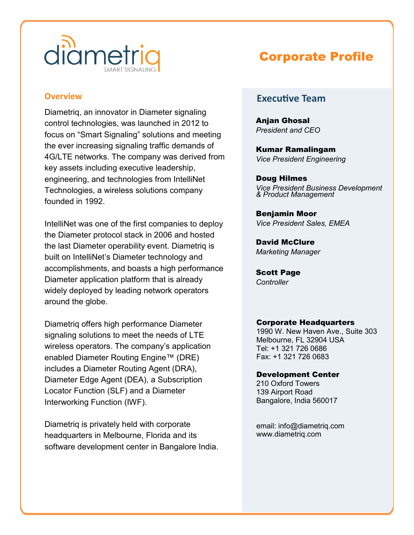

### **Overview**

Diametriq, an innovator in Diameter signaling control technologies, was launched in 2012 to focus on "Smart Signaling" solutions and meeting the ever increasing signaling traffic demands of 4G/LTE networks. The company was derived from key assets including executive leadership, engineering, and technologies from IntelliNet Technologies, a wireless solutions company founded in 1992.

IntelliNet was one of the first companies to deploy the Diameter protocol stack in 2006 and hosted the last Diameter operability event. Diametriq is built on IntelliNet's Diameter technology and accomplishments, and boasts a high performance Diameter application platform that is already widely deployed by leading network operators around the globe.

Diametriq offers high performance Diameter signaling solutions to meet the needs of LTE wireless operators. The company's application enabled Diameter Routing Engine™ (DRE) includes a Diameter Routing Agent (DRA), Diameter Edge Agent (DEA), a Subscription Locator Function (SLF) and a Diameter Interworking Function (IWF).

Diametriq is privately held with corporate headquarters in Melbourne, Florida and its software development center in Bangalore India.

# Corporate Profile

## **Executive Team**

Anjan Ghosal *President and CEO*

Kumar Ramalingam *Vice President Engineering*

Doug Hilmes *Vice President Business Development & Product Management*

Benjamin Moor *Vice President Sales, EMEA*

David McClure *Marketing Manager*

Scott Page *Controller*

### Corporate Headquarters

1990 W. New Haven Ave., Suite 303 Melbourne, FL 32904 USA Tel: +1 321 726 0686 Fax: +1 321 726 0683

#### Development Center

210 Oxford Towers 139 Airport Road Bangalore, India 560017

email: info@diametriq.com www.diametriq.com